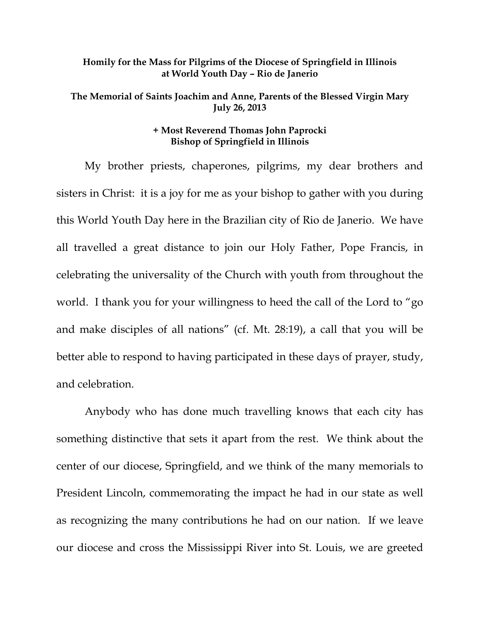## **Homily for the Mass for Pilgrims of the Diocese of Springfield in Illinois at World Youth Day – Rio de Janerio**

## **The Memorial of Saints Joachim and Anne, Parents of the Blessed Virgin Mary July 26, 2013**

## **+ Most Reverend Thomas John Paprocki Bishop of Springfield in Illinois**

 My brother priests, chaperones, pilgrims, my dear brothers and sisters in Christ: it is a joy for me as your bishop to gather with you during this World Youth Day here in the Brazilian city of Rio de Janerio. We have all travelled a great distance to join our Holy Father, Pope Francis, in celebrating the universality of the Church with youth from throughout the world. I thank you for your willingness to heed the call of the Lord to "go and make disciples of all nations" (cf. Mt. 28:19), a call that you will be better able to respond to having participated in these days of prayer, study, and celebration.

 Anybody who has done much travelling knows that each city has something distinctive that sets it apart from the rest. We think about the center of our diocese, Springfield, and we think of the many memorials to President Lincoln, commemorating the impact he had in our state as well as recognizing the many contributions he had on our nation. If we leave our diocese and cross the Mississippi River into St. Louis, we are greeted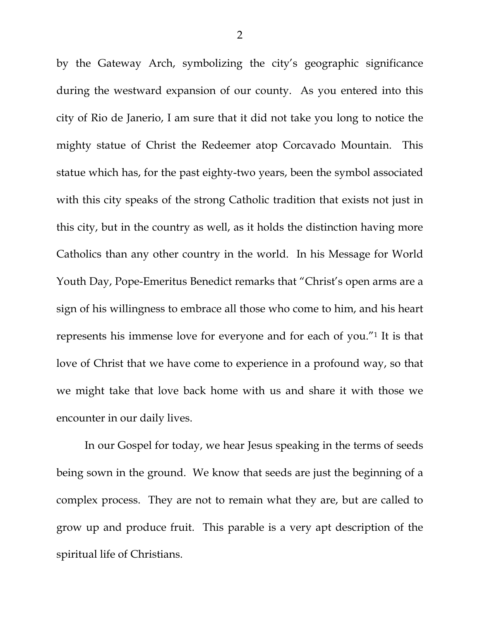by the Gateway Arch, symbolizing the city's geographic significance during the westward expansion of our county. As you entered into this city of Rio de Janerio, I am sure that it did not take you long to notice the mighty statue of Christ the Redeemer atop Corcavado Mountain. This statue which has, for the past eighty-two years, been the symbol associated with this city speaks of the strong Catholic tradition that exists not just in this city, but in the country as well, as it holds the distinction having more Catholics than any other country in the world. In his Message for World Youth Day, Pope-Emeritus Benedict remarks that "Christ's open arms are a sign of his willingness to embrace all those who come to him, and his heart represents his immense love for everyone and for each of you."1 It is that love of Christ that we have come to experience in a profound way, so that we might take that love back home with us and share it with those we encounter in our daily lives.

 In our Gospel for today, we hear Jesus speaking in the terms of seeds being sown in the ground. We know that seeds are just the beginning of a complex process. They are not to remain what they are, but are called to grow up and produce fruit. This parable is a very apt description of the spiritual life of Christians.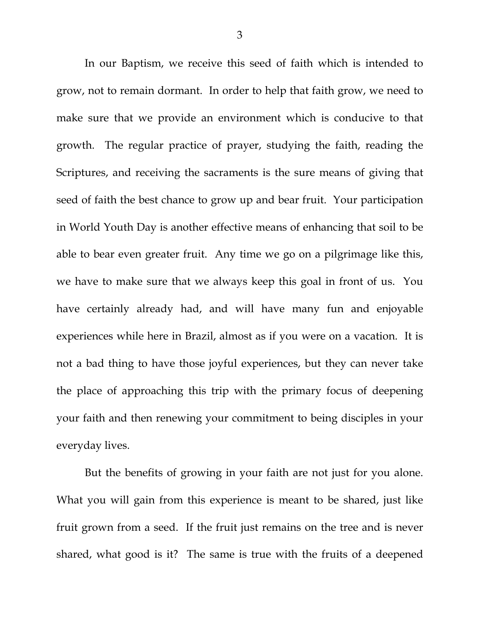In our Baptism, we receive this seed of faith which is intended to grow, not to remain dormant. In order to help that faith grow, we need to make sure that we provide an environment which is conducive to that growth. The regular practice of prayer, studying the faith, reading the Scriptures, and receiving the sacraments is the sure means of giving that seed of faith the best chance to grow up and bear fruit. Your participation in World Youth Day is another effective means of enhancing that soil to be able to bear even greater fruit. Any time we go on a pilgrimage like this, we have to make sure that we always keep this goal in front of us. You have certainly already had, and will have many fun and enjoyable experiences while here in Brazil, almost as if you were on a vacation. It is not a bad thing to have those joyful experiences, but they can never take the place of approaching this trip with the primary focus of deepening your faith and then renewing your commitment to being disciples in your everyday lives.

But the benefits of growing in your faith are not just for you alone. What you will gain from this experience is meant to be shared, just like fruit grown from a seed. If the fruit just remains on the tree and is never shared, what good is it? The same is true with the fruits of a deepened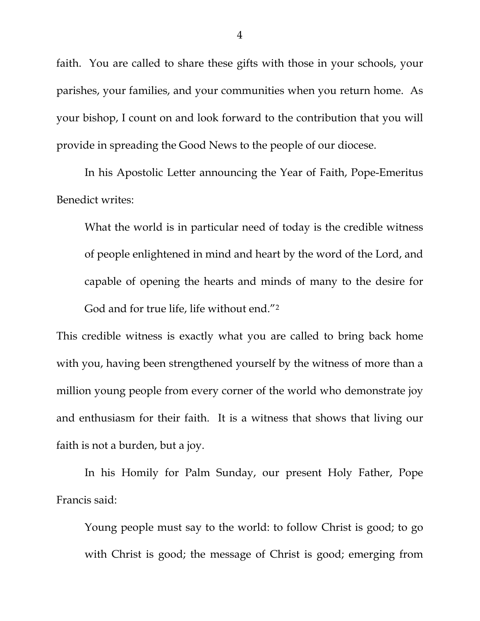faith. You are called to share these gifts with those in your schools, your parishes, your families, and your communities when you return home. As your bishop, I count on and look forward to the contribution that you will provide in spreading the Good News to the people of our diocese.

 In his Apostolic Letter announcing the Year of Faith, Pope-Emeritus Benedict writes:

What the world is in particular need of today is the credible witness of people enlightened in mind and heart by the word of the Lord, and capable of opening the hearts and minds of many to the desire for God and for true life, life without end."<sup>2</sup>

This credible witness is exactly what you are called to bring back home with you, having been strengthened yourself by the witness of more than a million young people from every corner of the world who demonstrate joy and enthusiasm for their faith. It is a witness that shows that living our faith is not a burden, but a joy.

In his Homily for Palm Sunday, our present Holy Father, Pope Francis said:

Young people must say to the world: to follow Christ is good; to go with Christ is good; the message of Christ is good; emerging from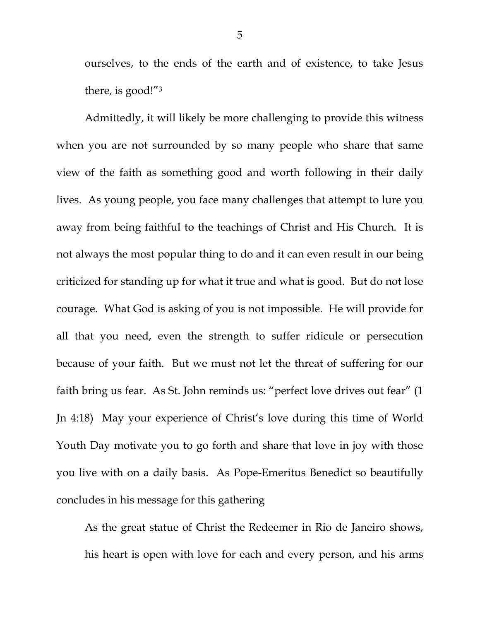ourselves, to the ends of the earth and of existence, to take Jesus there, is good!"3

 Admittedly, it will likely be more challenging to provide this witness when you are not surrounded by so many people who share that same view of the faith as something good and worth following in their daily lives. As young people, you face many challenges that attempt to lure you away from being faithful to the teachings of Christ and His Church. It is not always the most popular thing to do and it can even result in our being criticized for standing up for what it true and what is good. But do not lose courage. What God is asking of you is not impossible. He will provide for all that you need, even the strength to suffer ridicule or persecution because of your faith. But we must not let the threat of suffering for our faith bring us fear. As St. John reminds us: "perfect love drives out fear" (1 Jn 4:18) May your experience of Christ's love during this time of World Youth Day motivate you to go forth and share that love in joy with those you live with on a daily basis. As Pope-Emeritus Benedict so beautifully concludes in his message for this gathering

As the great statue of Christ the Redeemer in Rio de Janeiro shows, his heart is open with love for each and every person, and his arms